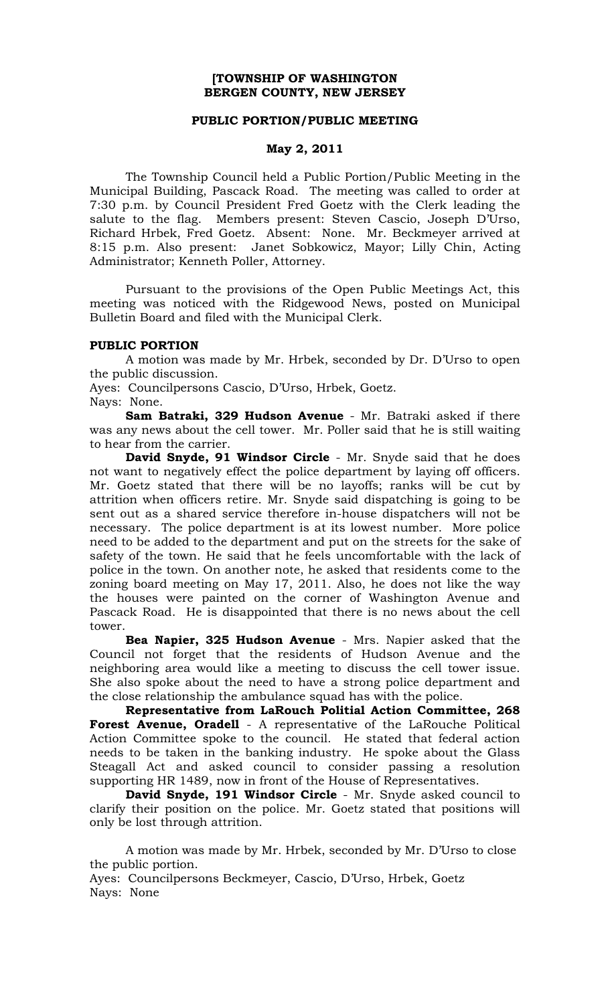# **[TOWNSHIP OF WASHINGTON BERGEN COUNTY, NEW JERSEY**

# **PUBLIC PORTION/PUBLIC MEETING**

# **May 2, 2011**

The Township Council held a Public Portion/Public Meeting in the Municipal Building, Pascack Road. The meeting was called to order at 7:30 p.m. by Council President Fred Goetz with the Clerk leading the salute to the flag. Members present: Steven Cascio, Joseph D'Urso, Richard Hrbek, Fred Goetz. Absent: None. Mr. Beckmeyer arrived at 8:15 p.m. Also present: Janet Sobkowicz, Mayor; Lilly Chin, Acting Administrator; Kenneth Poller, Attorney.

Pursuant to the provisions of the Open Public Meetings Act, this meeting was noticed with the Ridgewood News, posted on Municipal Bulletin Board and filed with the Municipal Clerk.

### **PUBLIC PORTION**

A motion was made by Mr. Hrbek, seconded by Dr. D'Urso to open the public discussion.

Ayes: Councilpersons Cascio, D'Urso, Hrbek, Goetz.

Nays: None.

**Sam Batraki, 329 Hudson Avenue** - Mr. Batraki asked if there was any news about the cell tower. Mr. Poller said that he is still waiting to hear from the carrier.

**David Snyde, 91 Windsor Circle** - Mr. Snyde said that he does not want to negatively effect the police department by laying off officers. Mr. Goetz stated that there will be no layoffs; ranks will be cut by attrition when officers retire. Mr. Snyde said dispatching is going to be sent out as a shared service therefore in-house dispatchers will not be necessary. The police department is at its lowest number. More police need to be added to the department and put on the streets for the sake of safety of the town. He said that he feels uncomfortable with the lack of police in the town. On another note, he asked that residents come to the zoning board meeting on May 17, 2011. Also, he does not like the way the houses were painted on the corner of Washington Avenue and Pascack Road. He is disappointed that there is no news about the cell tower.

**Bea Napier, 325 Hudson Avenue** - Mrs. Napier asked that the Council not forget that the residents of Hudson Avenue and the neighboring area would like a meeting to discuss the cell tower issue. She also spoke about the need to have a strong police department and the close relationship the ambulance squad has with the police.

**Representative from LaRouch Politial Action Committee, 268 Forest Avenue, Oradell** - A representative of the LaRouche Political Action Committee spoke to the council. He stated that federal action needs to be taken in the banking industry. He spoke about the Glass Steagall Act and asked council to consider passing a resolution supporting HR 1489, now in front of the House of Representatives.

**David Snyde, 191 Windsor Circle** - Mr. Snyde asked council to clarify their position on the police. Mr. Goetz stated that positions will only be lost through attrition.

A motion was made by Mr. Hrbek, seconded by Mr. D'Urso to close the public portion.

Ayes: Councilpersons Beckmeyer, Cascio, D'Urso, Hrbek, Goetz Nays: None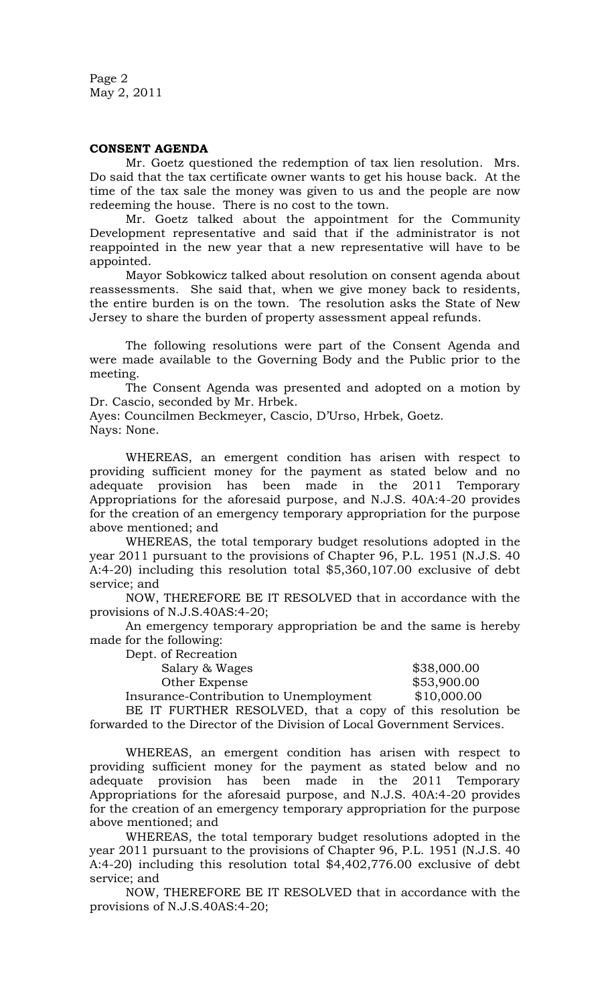Page 2 May 2, 2011

### **CONSENT AGENDA**

Mr. Goetz questioned the redemption of tax lien resolution. Mrs. Do said that the tax certificate owner wants to get his house back. At the time of the tax sale the money was given to us and the people are now redeeming the house. There is no cost to the town.

Mr. Goetz talked about the appointment for the Community Development representative and said that if the administrator is not reappointed in the new year that a new representative will have to be appointed.

Mayor Sobkowicz talked about resolution on consent agenda about reassessments. She said that, when we give money back to residents, the entire burden is on the town. The resolution asks the State of New Jersey to share the burden of property assessment appeal refunds.

The following resolutions were part of the Consent Agenda and were made available to the Governing Body and the Public prior to the meeting.

The Consent Agenda was presented and adopted on a motion by Dr. Cascio, seconded by Mr. Hrbek.

Ayes: Councilmen Beckmeyer, Cascio, D'Urso, Hrbek, Goetz. Nays: None.

WHEREAS, an emergent condition has arisen with respect to providing sufficient money for the payment as stated below and no adequate provision has been made in the 2011 Temporary Appropriations for the aforesaid purpose, and N.J.S. 40A:4-20 provides for the creation of an emergency temporary appropriation for the purpose above mentioned; and

WHEREAS, the total temporary budget resolutions adopted in the year 2011 pursuant to the provisions of Chapter 96, P.L. 1951 (N.J.S. 40 A:4-20) including this resolution total \$5,360,107.00 exclusive of debt service; and

NOW, THEREFORE BE IT RESOLVED that in accordance with the provisions of N.J.S.40AS:4-20;

An emergency temporary appropriation be and the same is hereby made for the following:

| Dept. of Recreation                                       |             |
|-----------------------------------------------------------|-------------|
| Salary & Wages                                            | \$38,000.00 |
| Other Expense                                             | \$53,900.00 |
| Insurance-Contribution to Unemployment                    | \$10,000.00 |
| BE IT FURTHER RESOLVED, that a copy of this resolution be |             |

forwarded to the Director of the Division of Local Government Services.

WHEREAS, an emergent condition has arisen with respect to providing sufficient money for the payment as stated below and no adequate provision has been made in the 2011 Temporary Appropriations for the aforesaid purpose, and N.J.S. 40A:4-20 provides for the creation of an emergency temporary appropriation for the purpose above mentioned; and

WHEREAS, the total temporary budget resolutions adopted in the year 2011 pursuant to the provisions of Chapter 96, P.L. 1951 (N.J.S. 40 A:4-20) including this resolution total \$4,402,776.00 exclusive of debt service; and

NOW, THEREFORE BE IT RESOLVED that in accordance with the provisions of N.J.S.40AS:4-20;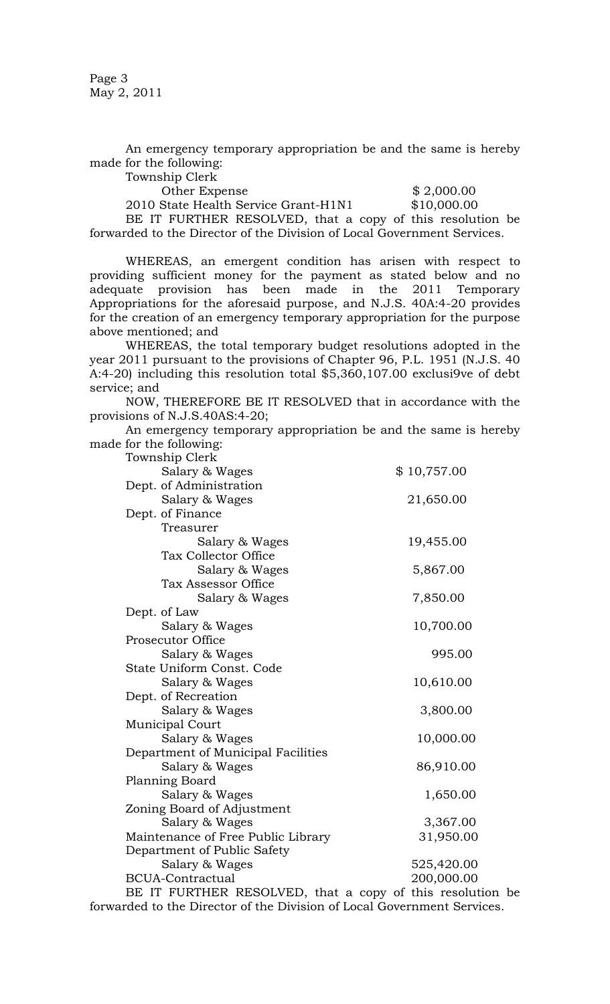Page 3 May 2, 2011

An emergency temporary appropriation be and the same is hereby made for the following:

Township Clerk

| Other Expense                        | \$2,000.00  |
|--------------------------------------|-------------|
| 2010 State Health Service Grant-H1N1 | \$10,000.00 |

BE IT FURTHER RESOLVED, that a copy of this resolution be forwarded to the Director of the Division of Local Government Services.

WHEREAS, an emergent condition has arisen with respect to providing sufficient money for the payment as stated below and no adequate provision has been made in the 2011 Temporary Appropriations for the aforesaid purpose, and N.J.S. 40A:4-20 provides for the creation of an emergency temporary appropriation for the purpose above mentioned; and

WHEREAS, the total temporary budget resolutions adopted in the year 2011 pursuant to the provisions of Chapter 96, P.L. 1951 (N.J.S. 40 A:4-20) including this resolution total \$5,360,107.00 exclusi9ve of debt service; and

NOW, THEREFORE BE IT RESOLVED that in accordance with the provisions of N.J.S.40AS:4-20;

An emergency temporary appropriation be and the same is hereby made for the following:

| Township Clerk                                                      |             |
|---------------------------------------------------------------------|-------------|
| Salary & Wages                                                      | \$10,757.00 |
| Dept. of Administration                                             |             |
| Salary & Wages                                                      | 21,650.00   |
| Dept. of Finance                                                    |             |
| Treasurer                                                           |             |
| Salary & Wages                                                      | 19,455.00   |
| <b>Tax Collector Office</b>                                         |             |
| Salary & Wages                                                      | 5,867.00    |
| Tax Assessor Office                                                 |             |
| Salary & Wages                                                      | 7,850.00    |
| Dept. of Law                                                        |             |
| Salary & Wages                                                      | 10,700.00   |
| Prosecutor Office                                                   |             |
| Salary & Wages                                                      | 995.00      |
| State Uniform Const. Code                                           |             |
| Salary & Wages                                                      | 10,610.00   |
| Dept. of Recreation                                                 |             |
| Salary & Wages                                                      | 3,800.00    |
| <b>Municipal Court</b>                                              |             |
| Salary & Wages                                                      | 10,000.00   |
| Department of Municipal Facilities                                  |             |
| Salary & Wages                                                      | 86,910.00   |
| Planning Board                                                      |             |
| Salary & Wages                                                      | 1,650.00    |
| Zoning Board of Adjustment                                          |             |
| Salary & Wages                                                      | 3,367.00    |
| Maintenance of Free Public Library                                  | 31,950.00   |
| Department of Public Safety                                         |             |
| Salary & Wages                                                      | 525,420.00  |
| <b>BCUA-Contractual</b>                                             | 200,000.00  |
| $DF$ IT $FIDTLID$ $DFCOIVFD$ $+hot$ $c$ $conv$ of $this$ $resoluti$ |             |

BE IT FURTHER RESOLVED, that a copy of this resolution be forwarded to the Director of the Division of Local Government Services.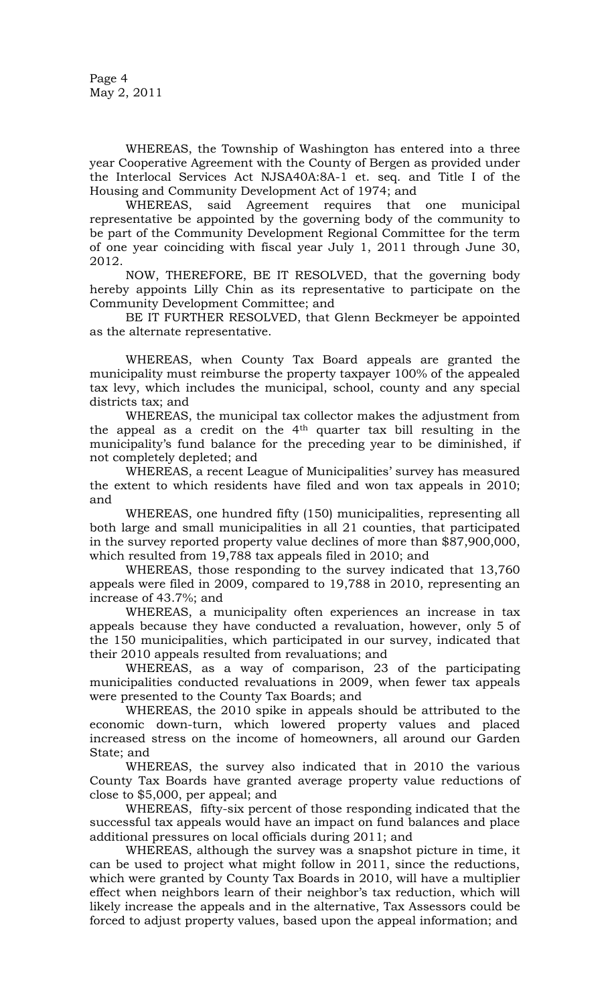Page 4 May 2, 2011

WHEREAS, the Township of Washington has entered into a three year Cooperative Agreement with the County of Bergen as provided under the Interlocal Services Act NJSA40A:8A-1 et. seq. and Title I of the Housing and Community Development Act of 1974; and

WHEREAS, said Agreement requires that one municipal representative be appointed by the governing body of the community to be part of the Community Development Regional Committee for the term of one year coinciding with fiscal year July 1, 2011 through June 30, 2012.

NOW, THEREFORE, BE IT RESOLVED, that the governing body hereby appoints Lilly Chin as its representative to participate on the Community Development Committee; and

BE IT FURTHER RESOLVED, that Glenn Beckmeyer be appointed as the alternate representative.

WHEREAS, when County Tax Board appeals are granted the municipality must reimburse the property taxpayer 100% of the appealed tax levy, which includes the municipal, school, county and any special districts tax; and

WHEREAS, the municipal tax collector makes the adjustment from the appeal as a credit on the 4th quarter tax bill resulting in the municipality's fund balance for the preceding year to be diminished, if not completely depleted; and

WHEREAS, a recent League of Municipalities' survey has measured the extent to which residents have filed and won tax appeals in 2010; and

WHEREAS, one hundred fifty (150) municipalities, representing all both large and small municipalities in all 21 counties, that participated in the survey reported property value declines of more than \$87,900,000, which resulted from 19,788 tax appeals filed in 2010; and

WHEREAS, those responding to the survey indicated that 13,760 appeals were filed in 2009, compared to 19,788 in 2010, representing an increase of 43.7%; and

WHEREAS, a municipality often experiences an increase in tax appeals because they have conducted a revaluation, however, only 5 of the 150 municipalities, which participated in our survey, indicated that their 2010 appeals resulted from revaluations; and

WHEREAS, as a way of comparison, 23 of the participating municipalities conducted revaluations in 2009, when fewer tax appeals were presented to the County Tax Boards; and

WHEREAS, the 2010 spike in appeals should be attributed to the economic down-turn, which lowered property values and placed increased stress on the income of homeowners, all around our Garden State; and

WHEREAS, the survey also indicated that in 2010 the various County Tax Boards have granted average property value reductions of close to \$5,000, per appeal; and

WHEREAS, fifty-six percent of those responding indicated that the successful tax appeals would have an impact on fund balances and place additional pressures on local officials during 2011; and

WHEREAS, although the survey was a snapshot picture in time, it can be used to project what might follow in 2011, since the reductions, which were granted by County Tax Boards in 2010, will have a multiplier effect when neighbors learn of their neighbor's tax reduction, which will likely increase the appeals and in the alternative, Tax Assessors could be forced to adjust property values, based upon the appeal information; and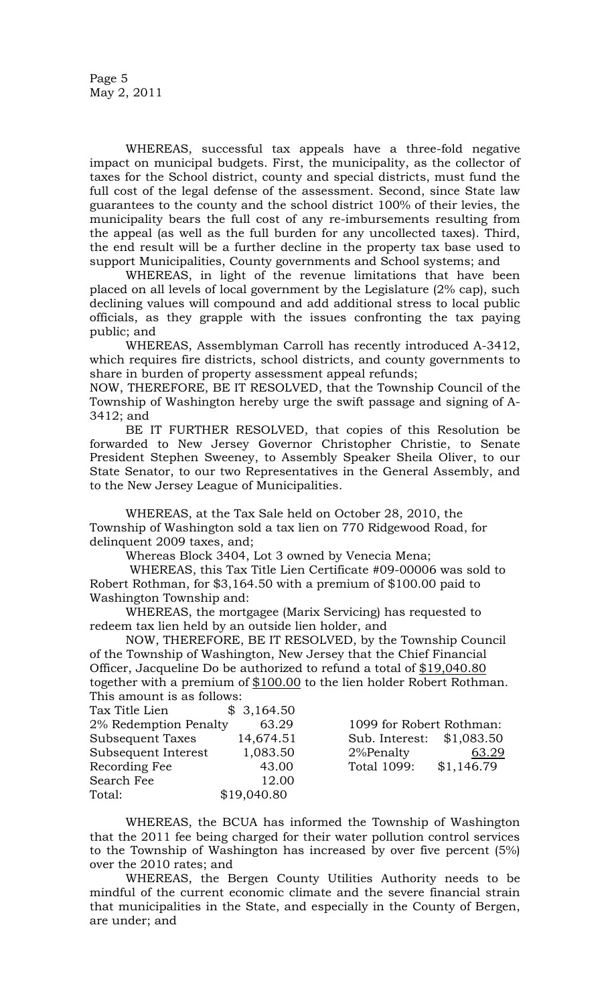WHEREAS, successful tax appeals have a three-fold negative impact on municipal budgets. First, the municipality, as the collector of taxes for the School district, county and special districts, must fund the full cost of the legal defense of the assessment. Second, since State law guarantees to the county and the school district 100% of their levies, the municipality bears the full cost of any re-imbursements resulting from the appeal (as well as the full burden for any uncollected taxes). Third, the end result will be a further decline in the property tax base used to support Municipalities, County governments and School systems; and

WHEREAS, in light of the revenue limitations that have been placed on all levels of local government by the Legislature (2% cap), such declining values will compound and add additional stress to local public officials, as they grapple with the issues confronting the tax paying public; and

WHEREAS, Assemblyman Carroll has recently introduced A-3412, which requires fire districts, school districts, and county governments to share in burden of property assessment appeal refunds;

NOW, THEREFORE, BE IT RESOLVED, that the Township Council of the Township of Washington hereby urge the swift passage and signing of A-3412; and

BE IT FURTHER RESOLVED, that copies of this Resolution be forwarded to New Jersey Governor Christopher Christie, to Senate President Stephen Sweeney, to Assembly Speaker Sheila Oliver, to our State Senator, to our two Representatives in the General Assembly, and to the New Jersey League of Municipalities.

WHEREAS, at the Tax Sale held on October 28, 2010, the Township of Washington sold a tax lien on 770 Ridgewood Road, for delinquent 2009 taxes, and;

Whereas Block 3404, Lot 3 owned by Venecia Mena;

WHEREAS, this Tax Title Lien Certificate #09-00006 was sold to Robert Rothman, for \$3,164.50 with a premium of \$100.00 paid to Washington Township and:

WHEREAS, the mortgagee (Marix Servicing) has requested to redeem tax lien held by an outside lien holder, and

NOW, THEREFORE, BE IT RESOLVED, by the Township Council of the Township of Washington, New Jersey that the Chief Financial Officer, Jacqueline Do be authorized to refund a total of \$19,040.80 together with a premium of \$100.00 to the lien holder Robert Rothman. This amount is as follows:

| Tax Title Lien        | \$3,164.50  |                           |            |
|-----------------------|-------------|---------------------------|------------|
| 2% Redemption Penalty | 63.29       | 1099 for Robert Rothman:  |            |
| Subsequent Taxes      | 14,674.51   | Sub. Interest: \$1,083.50 |            |
| Subsequent Interest   | 1,083.50    | 2%Penalty                 | 63.29      |
| Recording Fee         | 43.00       | Total 1099:               | \$1,146.79 |
| Search Fee            | 12.00       |                           |            |
| Total:                | \$19,040.80 |                           |            |

WHEREAS, the BCUA has informed the Township of Washington that the 2011 fee being charged for their water pollution control services to the Township of Washington has increased by over five percent (5%) over the 2010 rates; and

WHEREAS, the Bergen County Utilities Authority needs to be mindful of the current economic climate and the severe financial strain that municipalities in the State, and especially in the County of Bergen, are under; and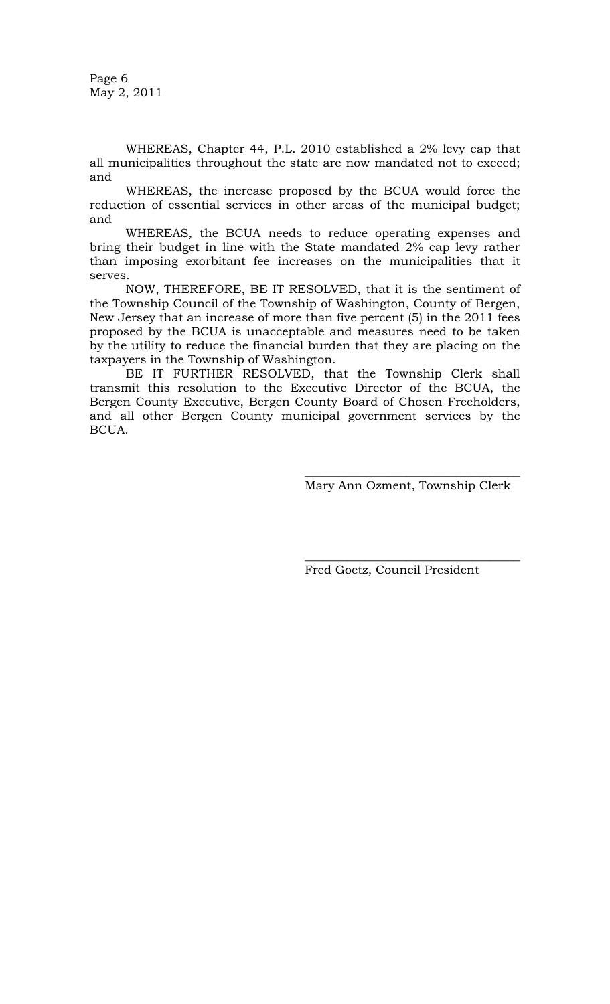Page 6 May 2, 2011

WHEREAS, Chapter 44, P.L. 2010 established a 2% levy cap that all municipalities throughout the state are now mandated not to exceed; and

WHEREAS, the increase proposed by the BCUA would force the reduction of essential services in other areas of the municipal budget; and

WHEREAS, the BCUA needs to reduce operating expenses and bring their budget in line with the State mandated 2% cap levy rather than imposing exorbitant fee increases on the municipalities that it serves.

NOW, THEREFORE, BE IT RESOLVED, that it is the sentiment of the Township Council of the Township of Washington, County of Bergen, New Jersey that an increase of more than five percent (5) in the 2011 fees proposed by the BCUA is unacceptable and measures need to be taken by the utility to reduce the financial burden that they are placing on the taxpayers in the Township of Washington.

BE IT FURTHER RESOLVED, that the Township Clerk shall transmit this resolution to the Executive Director of the BCUA, the Bergen County Executive, Bergen County Board of Chosen Freeholders, and all other Bergen County municipal government services by the BCUA.

> $\overline{\phantom{a}}$  , where the contract of the contract of the contract of the contract of the contract of the contract of the contract of the contract of the contract of the contract of the contract of the contract of the contr Mary Ann Ozment, Township Clerk

> $\overline{\phantom{a}}$  , where the contract of the contract of the contract of the contract of the contract of the contract of the contract of the contract of the contract of the contract of the contract of the contract of the contr Fred Goetz, Council President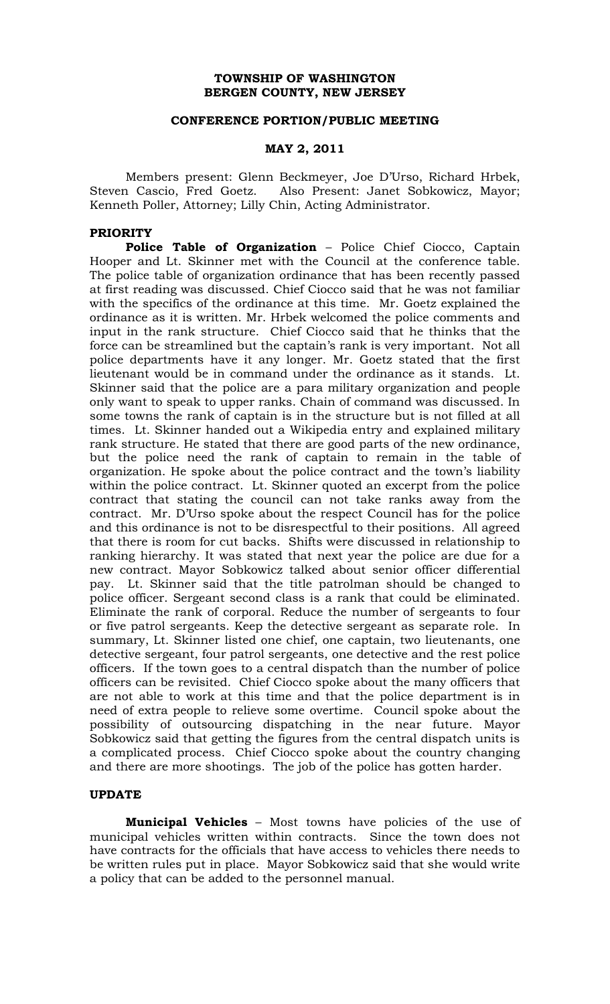# **TOWNSHIP OF WASHINGTON BERGEN COUNTY, NEW JERSEY**

### **CONFERENCE PORTION/PUBLIC MEETING**

# **MAY 2, 2011**

Members present: Glenn Beckmeyer, Joe D'Urso, Richard Hrbek, Steven Cascio, Fred Goetz. Also Present: Janet Sobkowicz, Mayor; Kenneth Poller, Attorney; Lilly Chin, Acting Administrator.

# **PRIORITY**

**Police Table of Organization** – Police Chief Ciocco, Captain Hooper and Lt. Skinner met with the Council at the conference table. The police table of organization ordinance that has been recently passed at first reading was discussed. Chief Ciocco said that he was not familiar with the specifics of the ordinance at this time. Mr. Goetz explained the ordinance as it is written. Mr. Hrbek welcomed the police comments and input in the rank structure. Chief Ciocco said that he thinks that the force can be streamlined but the captain's rank is very important. Not all police departments have it any longer. Mr. Goetz stated that the first lieutenant would be in command under the ordinance as it stands. Lt. Skinner said that the police are a para military organization and people only want to speak to upper ranks. Chain of command was discussed. In some towns the rank of captain is in the structure but is not filled at all times. Lt. Skinner handed out a Wikipedia entry and explained military rank structure. He stated that there are good parts of the new ordinance, but the police need the rank of captain to remain in the table of organization. He spoke about the police contract and the town's liability within the police contract. Lt. Skinner quoted an excerpt from the police contract that stating the council can not take ranks away from the contract. Mr. D'Urso spoke about the respect Council has for the police and this ordinance is not to be disrespectful to their positions. All agreed that there is room for cut backs. Shifts were discussed in relationship to ranking hierarchy. It was stated that next year the police are due for a new contract. Mayor Sobkowicz talked about senior officer differential pay. Lt. Skinner said that the title patrolman should be changed to police officer. Sergeant second class is a rank that could be eliminated. Eliminate the rank of corporal. Reduce the number of sergeants to four or five patrol sergeants. Keep the detective sergeant as separate role. In summary, Lt. Skinner listed one chief, one captain, two lieutenants, one detective sergeant, four patrol sergeants, one detective and the rest police officers. If the town goes to a central dispatch than the number of police officers can be revisited. Chief Ciocco spoke about the many officers that are not able to work at this time and that the police department is in need of extra people to relieve some overtime. Council spoke about the possibility of outsourcing dispatching in the near future. Mayor Sobkowicz said that getting the figures from the central dispatch units is a complicated process. Chief Ciocco spoke about the country changing and there are more shootings. The job of the police has gotten harder.

# **UPDATE**

**Municipal Vehicles** – Most towns have policies of the use of municipal vehicles written within contracts. Since the town does not have contracts for the officials that have access to vehicles there needs to be written rules put in place. Mayor Sobkowicz said that she would write a policy that can be added to the personnel manual.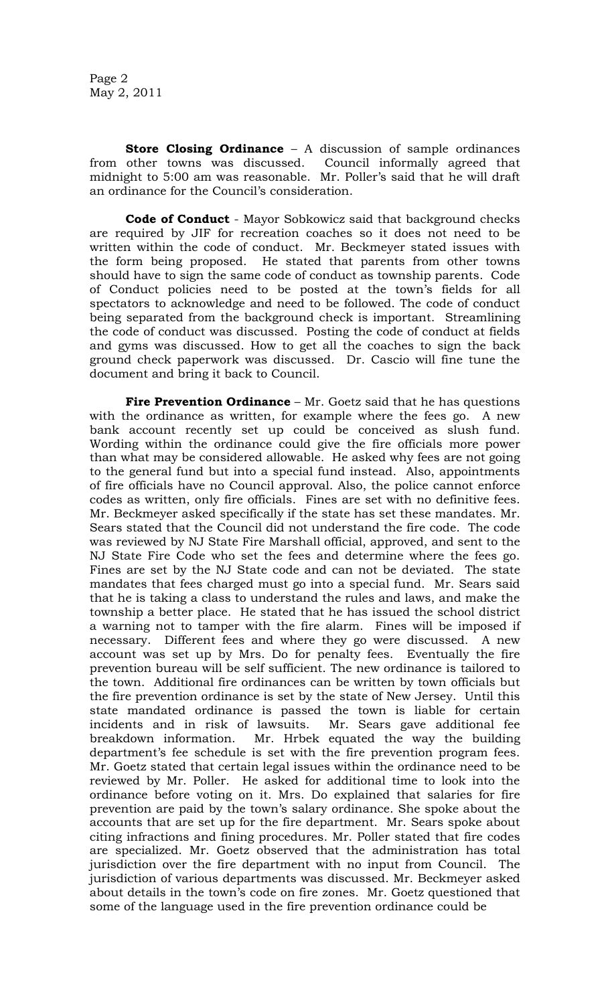Page 2 May 2, 2011

**Store Closing Ordinance** – A discussion of sample ordinances from other towns was discussed. Council informally agreed that midnight to 5:00 am was reasonable. Mr. Poller's said that he will draft an ordinance for the Council's consideration.

**Code of Conduct** - Mayor Sobkowicz said that background checks are required by JIF for recreation coaches so it does not need to be written within the code of conduct. Mr. Beckmeyer stated issues with the form being proposed. He stated that parents from other towns should have to sign the same code of conduct as township parents. Code of Conduct policies need to be posted at the town's fields for all spectators to acknowledge and need to be followed. The code of conduct being separated from the background check is important. Streamlining the code of conduct was discussed. Posting the code of conduct at fields and gyms was discussed. How to get all the coaches to sign the back ground check paperwork was discussed. Dr. Cascio will fine tune the document and bring it back to Council.

**Fire Prevention Ordinance** – Mr. Goetz said that he has questions with the ordinance as written, for example where the fees go. A new bank account recently set up could be conceived as slush fund. Wording within the ordinance could give the fire officials more power than what may be considered allowable. He asked why fees are not going to the general fund but into a special fund instead. Also, appointments of fire officials have no Council approval. Also, the police cannot enforce codes as written, only fire officials. Fines are set with no definitive fees. Mr. Beckmeyer asked specifically if the state has set these mandates. Mr. Sears stated that the Council did not understand the fire code. The code was reviewed by NJ State Fire Marshall official, approved, and sent to the NJ State Fire Code who set the fees and determine where the fees go. Fines are set by the NJ State code and can not be deviated. The state mandates that fees charged must go into a special fund. Mr. Sears said that he is taking a class to understand the rules and laws, and make the township a better place. He stated that he has issued the school district a warning not to tamper with the fire alarm. Fines will be imposed if necessary. Different fees and where they go were discussed. A new account was set up by Mrs. Do for penalty fees. Eventually the fire prevention bureau will be self sufficient. The new ordinance is tailored to the town. Additional fire ordinances can be written by town officials but the fire prevention ordinance is set by the state of New Jersey. Until this state mandated ordinance is passed the town is liable for certain incidents and in risk of lawsuits. Mr. Sears gave additional fee breakdown information. Mr. Hrbek equated the way the building department's fee schedule is set with the fire prevention program fees. Mr. Goetz stated that certain legal issues within the ordinance need to be reviewed by Mr. Poller. He asked for additional time to look into the ordinance before voting on it. Mrs. Do explained that salaries for fire prevention are paid by the town's salary ordinance. She spoke about the accounts that are set up for the fire department. Mr. Sears spoke about citing infractions and fining procedures. Mr. Poller stated that fire codes are specialized. Mr. Goetz observed that the administration has total jurisdiction over the fire department with no input from Council. The jurisdiction of various departments was discussed. Mr. Beckmeyer asked about details in the town's code on fire zones. Mr. Goetz questioned that some of the language used in the fire prevention ordinance could be